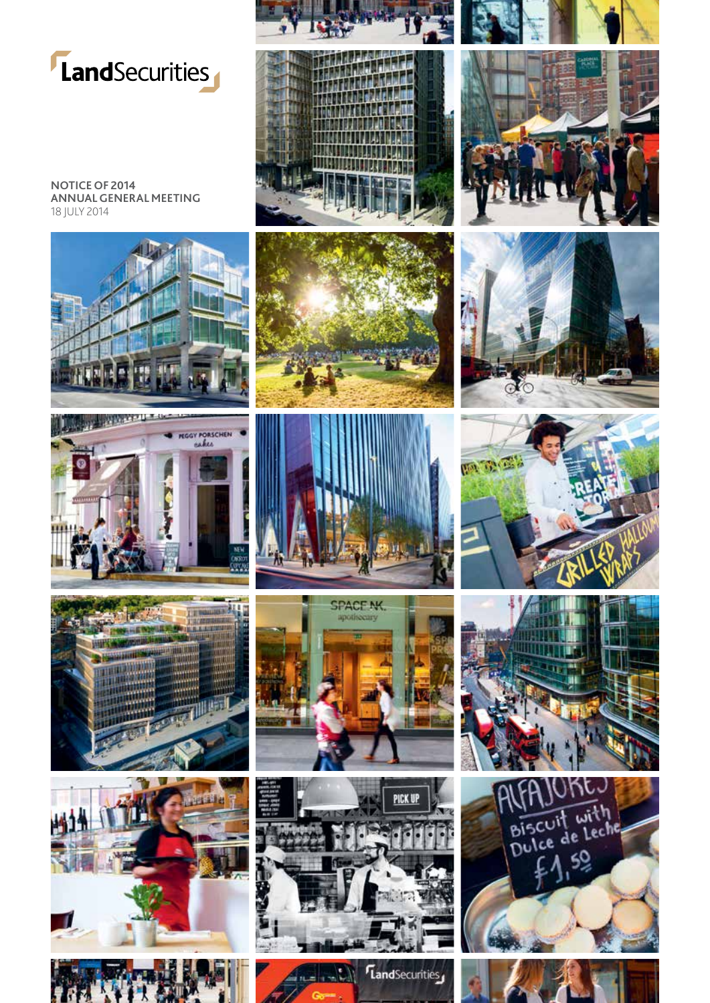

**notice of 2014 annual general meeting** 18 july 2014



































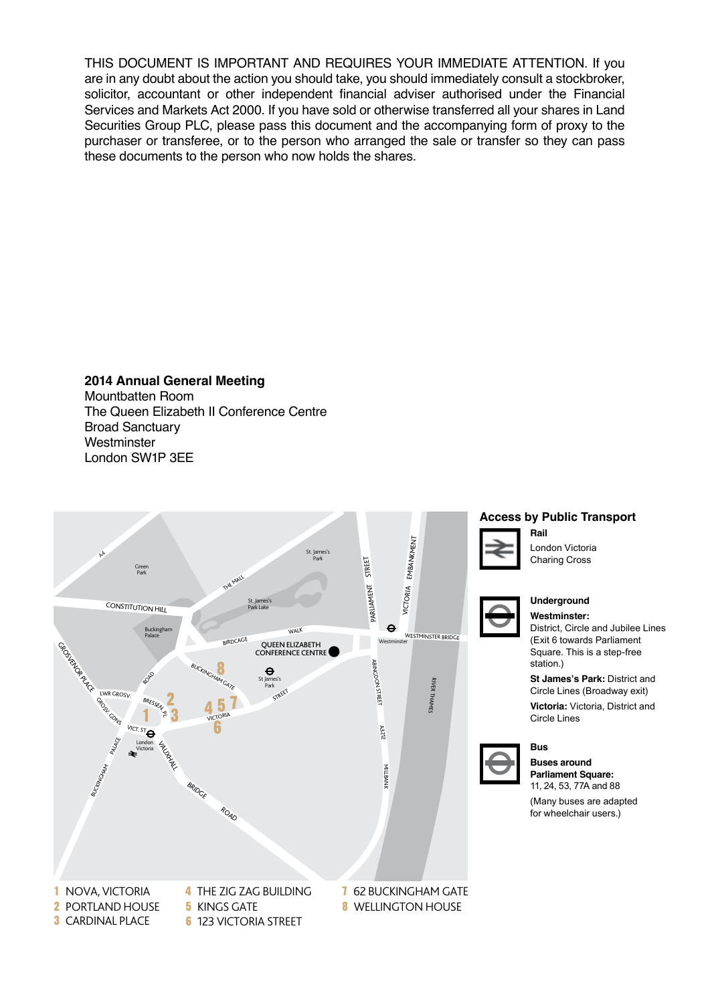THIS DOCUMENT IS IMPORTANT AND REQUIRES YOUR IMMEDIATE ATTENTION. If you are in any doubt about the action you should take, you should immediately consult a stockbroker, solicitor, accountant or other independent financial adviser authorised under the Financial Services and Markets Act 2000. If you have sold or otherwise transferred all your shares in Land Securities Group PLC, please pass this document and the accompanying form of proxy to the purchaser or transferee, or to the person who arranged the sale or transfer so they can pass these documents to the person who now holds the shares.

# **2014 Annual General Meeting**

Mountbatten Room The Queen Elizabeth II Conference Centre Broad Sanctuary **Westminster** London SW1P 3EE

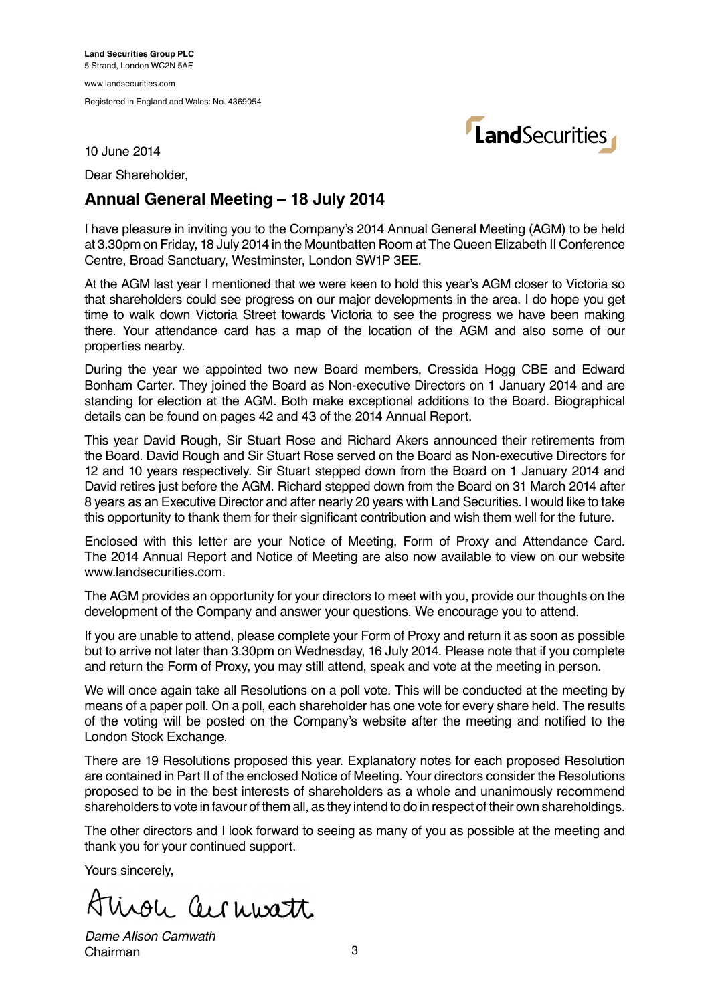www.landsecurities.com Registered in England and Wales: No. 4369054



10 June 2014

Dear Shareholder,

# **Annual General Meeting – 18 July 2014**

I have pleasure in inviting you to the Company's 2014 Annual General Meeting (AGM) to be held at 3.30pm on Friday, 18 July 2014 in the Mountbatten Room at The Queen Elizabeth II Conference Centre, Broad Sanctuary, Westminster, London SW1P 3EE.

At the AGM last year I mentioned that we were keen to hold this year's AGM closer to Victoria so that shareholders could see progress on our major developments in the area. I do hope you get time to walk down Victoria Street towards Victoria to see the progress we have been making there. Your attendance card has a map of the location of the AGM and also some of our properties nearby.

During the year we appointed two new Board members, Cressida Hogg CBE and Edward Bonham Carter. They joined the Board as Non-executive Directors on 1 January 2014 and are standing for election at the AGM. Both make exceptional additions to the Board. Biographical details can be found on pages 42 and 43 of the 2014 Annual Report.

This year David Rough, Sir Stuart Rose and Richard Akers announced their retirements from the Board. David Rough and Sir Stuart Rose served on the Board as Non-executive Directors for 12 and 10 years respectively. Sir Stuart stepped down from the Board on 1 January 2014 and David retires just before the AGM. Richard stepped down from the Board on 31 March 2014 after 8 years as an Executive Director and after nearly 20 years with Land Securities. I would like to take this opportunity to thank them for their significant contribution and wish them well for the future.

Enclosed with this letter are your Notice of Meeting, Form of Proxy and Attendance Card. The 2014 Annual Report and Notice of Meeting are also now available to view on our website www.landsecurities.com.

The AGM provides an opportunity for your directors to meet with you, provide our thoughts on the development of the Company and answer your questions. We encourage you to attend.

If you are unable to attend, please complete your Form of Proxy and return it as soon as possible but to arrive not later than 3.30pm on Wednesday, 16 July 2014. Please note that if you complete and return the Form of Proxy, you may still attend, speak and vote at the meeting in person.

We will once again take all Resolutions on a poll vote. This will be conducted at the meeting by means of a paper poll. On a poll, each shareholder has one vote for every share held. The results of the voting will be posted on the Company's website after the meeting and notified to the London Stock Exchange.

There are 19 Resolutions proposed this year. Explanatory notes for each proposed Resolution are contained in Part II of the enclosed Notice of Meeting. Your directors consider the Resolutions proposed to be in the best interests of shareholders as a whole and unanimously recommend shareholders to vote in favour of them all, as they intend to do in respect of their own shareholdings.

The other directors and I look forward to seeing as many of you as possible at the meeting and thank you for your continued support.

Yours sincerely,

Tiron air mwatt

*Dame Alison Carnwath* Chairman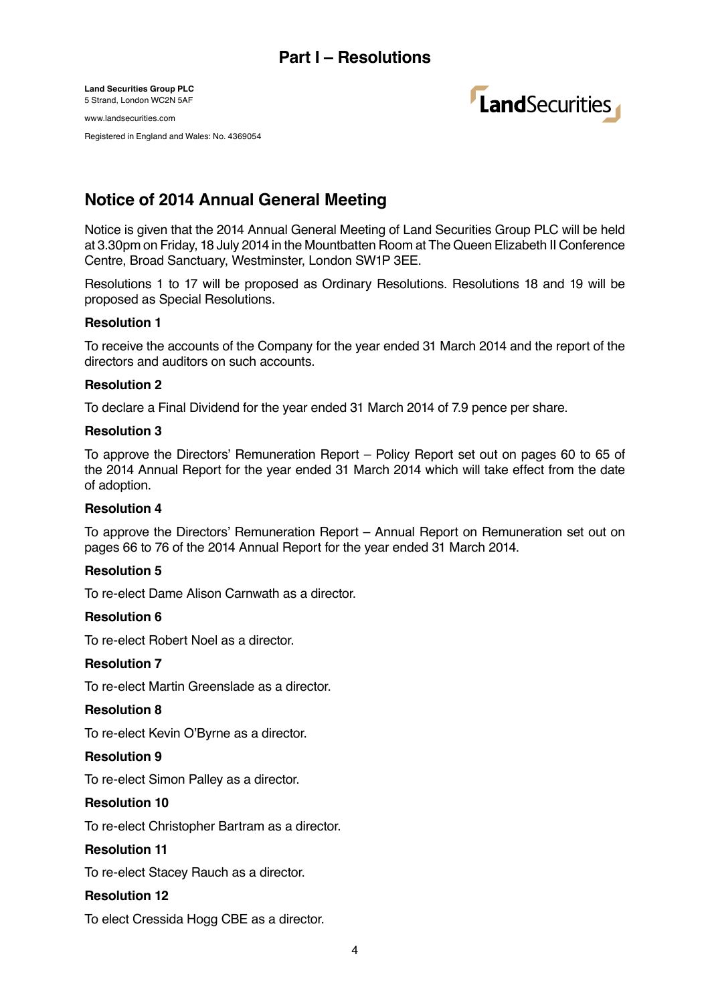**Land Securities Group PLC** 5 Strand, London WC2N 5AF

www.landsecurities.com Registered in England and Wales: No. 4369054



# **Notice of 2014 Annual General Meeting**

Notice is given that the 2014 Annual General Meeting of Land Securities Group PLC will be held at 3.30pm on Friday, 18 July 2014 in the Mountbatten Room at The Queen Elizabeth II Conference Centre, Broad Sanctuary, Westminster, London SW1P 3EE.

Resolutions 1 to 17 will be proposed as Ordinary Resolutions. Resolutions 18 and 19 will be proposed as Special Resolutions.

### **Resolution 1**

To receive the accounts of the Company for the year ended 31 March 2014 and the report of the directors and auditors on such accounts.

### **Resolution 2**

To declare a Final Dividend for the year ended 31 March 2014 of 7.9 pence per share.

### **Resolution 3**

To approve the Directors' Remuneration Report – Policy Report set out on pages 60 to 65 of the 2014 Annual Report for the year ended 31 March 2014 which will take effect from the date of adoption.

#### **Resolution 4**

To approve the Directors' Remuneration Report – Annual Report on Remuneration set out on pages 66 to 76 of the 2014 Annual Report for the year ended 31 March 2014.

### **Resolution 5**

To re-elect Dame Alison Carnwath as a director.

### **Resolution 6**

To re-elect Robert Noel as a director.

#### **Resolution 7**

To re-elect Martin Greenslade as a director.

#### **Resolution 8**

To re-elect Kevin O'Byrne as a director.

#### **Resolution 9**

To re-elect Simon Palley as a director.

#### **Resolution 10**

To re-elect Christopher Bartram as a director.

### **Resolution 11**

To re-elect Stacey Rauch as a director.

#### **Resolution 12**

To elect Cressida Hogg CBE as a director.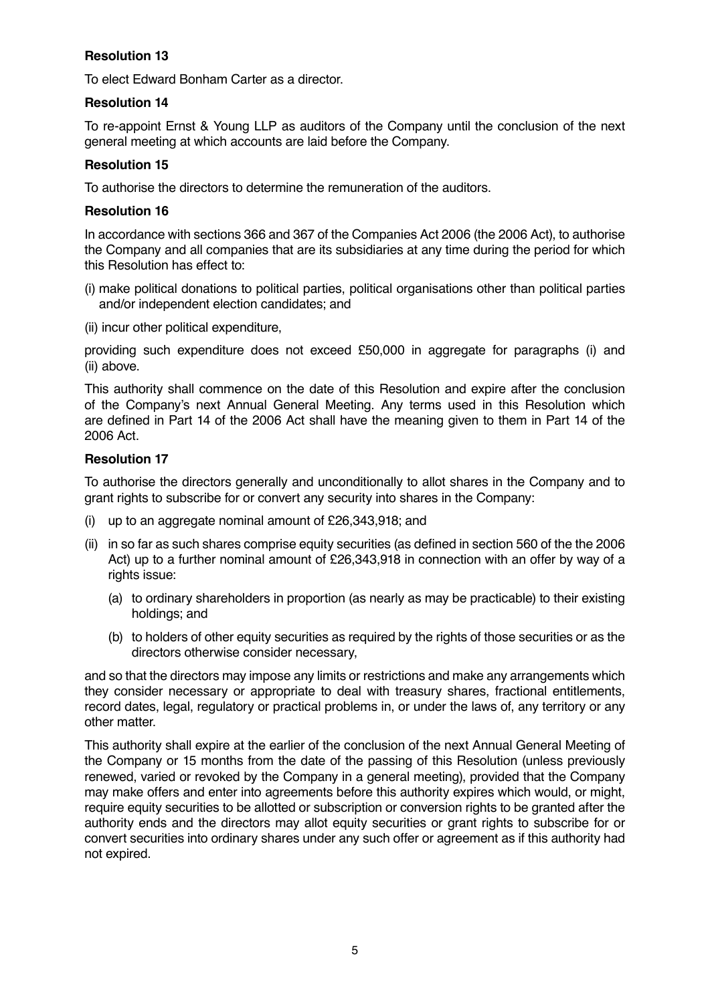# **Resolution 13**

To elect Edward Bonham Carter as a director.

#### **Resolution 14**

To re-appoint Ernst & Young LLP as auditors of the Company until the conclusion of the next general meeting at which accounts are laid before the Company.

#### **Resolution 15**

To authorise the directors to determine the remuneration of the auditors.

#### **Resolution 16**

In accordance with sections 366 and 367 of the Companies Act 2006 (the 2006 Act), to authorise the Company and all companies that are its subsidiaries at any time during the period for which this Resolution has effect to:

- (i) make political donations to political parties, political organisations other than political parties and/or independent election candidates; and
- (ii) incur other political expenditure,

providing such expenditure does not exceed £50,000 in aggregate for paragraphs (i) and (ii) above.

This authority shall commence on the date of this Resolution and expire after the conclusion of the Company's next Annual General Meeting. Any terms used in this Resolution which are defined in Part 14 of the 2006 Act shall have the meaning given to them in Part 14 of the 2006 Act.

#### **Resolution 17**

To authorise the directors generally and unconditionally to allot shares in the Company and to grant rights to subscribe for or convert any security into shares in the Company:

- (i) up to an aggregate nominal amount of £26,343,918; and
- (ii) in so far as such shares comprise equity securities (as defined in section 560 of the the 2006 Act) up to a further nominal amount of £26,343,918 in connection with an offer by way of a rights issue:
	- (a) to ordinary shareholders in proportion (as nearly as may be practicable) to their existing holdings; and
	- (b) to holders of other equity securities as required by the rights of those securities or as the directors otherwise consider necessary,

and so that the directors may impose any limits or restrictions and make any arrangements which they consider necessary or appropriate to deal with treasury shares, fractional entitlements, record dates, legal, regulatory or practical problems in, or under the laws of, any territory or any other matter.

This authority shall expire at the earlier of the conclusion of the next Annual General Meeting of the Company or 15 months from the date of the passing of this Resolution (unless previously renewed, varied or revoked by the Company in a general meeting), provided that the Company may make offers and enter into agreements before this authority expires which would, or might, require equity securities to be allotted or subscription or conversion rights to be granted after the authority ends and the directors may allot equity securities or grant rights to subscribe for or convert securities into ordinary shares under any such offer or agreement as if this authority had not expired.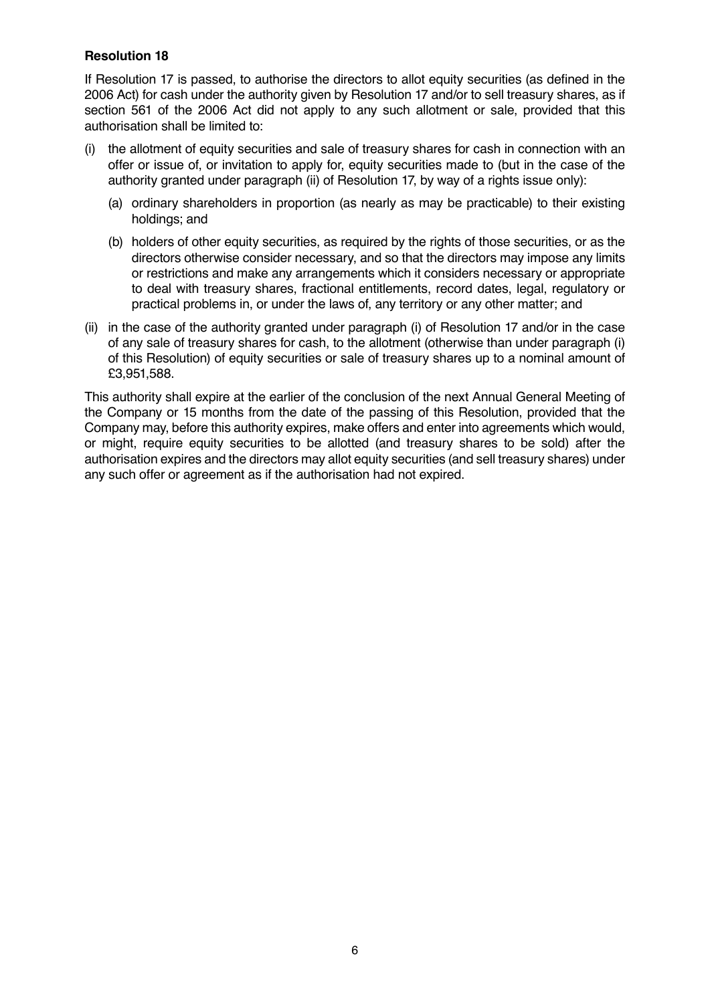# **Resolution 18**

If Resolution 17 is passed, to authorise the directors to allot equity securities (as defined in the 2006 Act) for cash under the authority given by Resolution 17 and/or to sell treasury shares, as if section 561 of the 2006 Act did not apply to any such allotment or sale, provided that this authorisation shall be limited to:

- (i) the allotment of equity securities and sale of treasury shares for cash in connection with an offer or issue of, or invitation to apply for, equity securities made to (but in the case of the authority granted under paragraph (ii) of Resolution 17, by way of a rights issue only):
	- (a) ordinary shareholders in proportion (as nearly as may be practicable) to their existing holdings; and
	- (b) holders of other equity securities, as required by the rights of those securities, or as the directors otherwise consider necessary, and so that the directors may impose any limits or restrictions and make any arrangements which it considers necessary or appropriate to deal with treasury shares, fractional entitlements, record dates, legal, regulatory or practical problems in, or under the laws of, any territory or any other matter; and
- (ii) in the case of the authority granted under paragraph (i) of Resolution 17 and/or in the case of any sale of treasury shares for cash, to the allotment (otherwise than under paragraph (i) of this Resolution) of equity securities or sale of treasury shares up to a nominal amount of £3,951,588.

This authority shall expire at the earlier of the conclusion of the next Annual General Meeting of the Company or 15 months from the date of the passing of this Resolution, provided that the Company may, before this authority expires, make offers and enter into agreements which would, or might, require equity securities to be allotted (and treasury shares to be sold) after the authorisation expires and the directors may allot equity securities (and sell treasury shares) under any such offer or agreement as if the authorisation had not expired.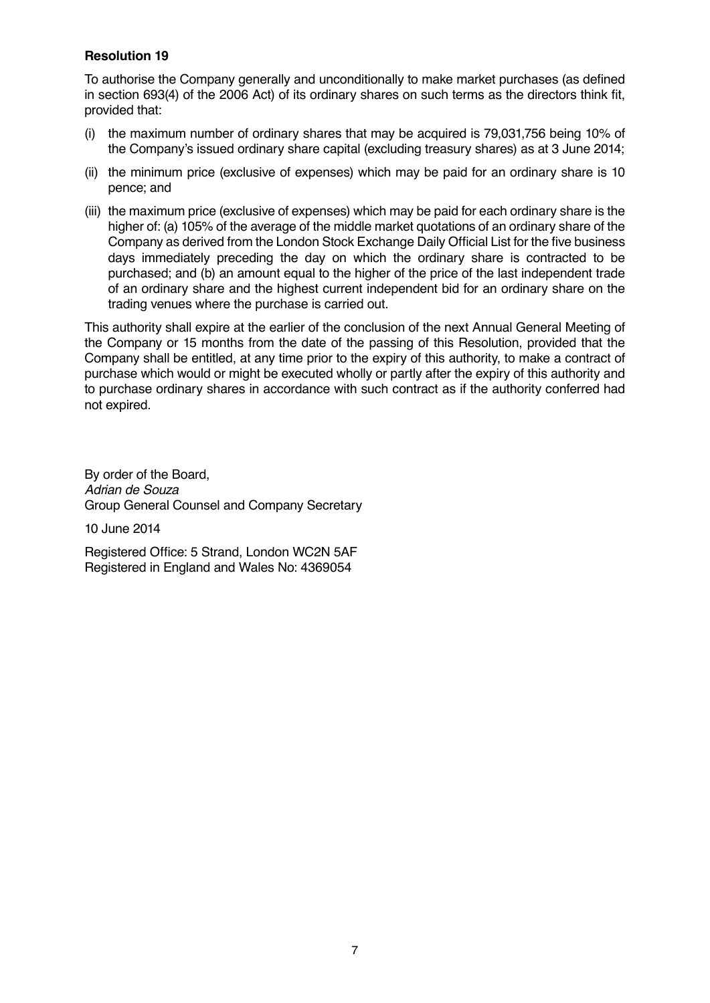# **Resolution 19**

To authorise the Company generally and unconditionally to make market purchases (as defined in section 693(4) of the 2006 Act) of its ordinary shares on such terms as the directors think fit, provided that:

- (i) the maximum number of ordinary shares that may be acquired is 79,031,756 being 10% of the Company's issued ordinary share capital (excluding treasury shares) as at 3 June 2014;
- (ii) the minimum price (exclusive of expenses) which may be paid for an ordinary share is 10 pence; and
- (iii) the maximum price (exclusive of expenses) which may be paid for each ordinary share is the higher of: (a) 105% of the average of the middle market quotations of an ordinary share of the Company as derived from the London Stock Exchange Daily Official List for the five business days immediately preceding the day on which the ordinary share is contracted to be purchased; and (b) an amount equal to the higher of the price of the last independent trade of an ordinary share and the highest current independent bid for an ordinary share on the trading venues where the purchase is carried out.

This authority shall expire at the earlier of the conclusion of the next Annual General Meeting of the Company or 15 months from the date of the passing of this Resolution, provided that the Company shall be entitled, at any time prior to the expiry of this authority, to make a contract of purchase which would or might be executed wholly or partly after the expiry of this authority and to purchase ordinary shares in accordance with such contract as if the authority conferred had not expired.

By order of the Board, *Adrian de Souza* Group General Counsel and Company Secretary

10 June 2014

Registered Office: 5 Strand, London WC2N 5AF Registered in England and Wales No: 4369054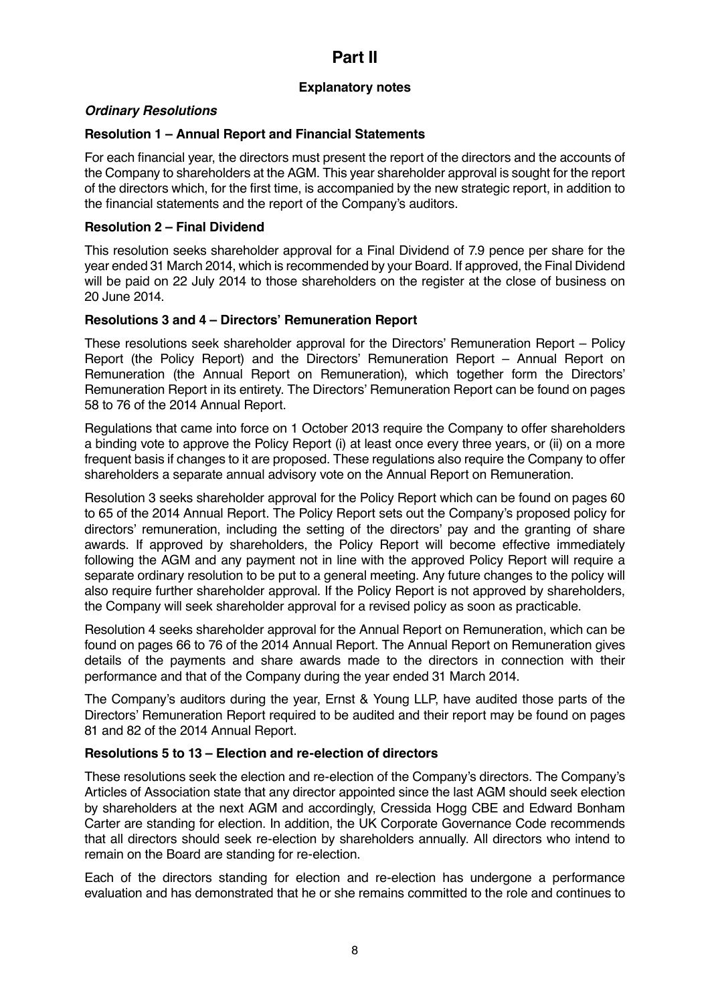# **Part II**

# **Explanatory notes**

# *Ordinary Resolutions*

# **Resolution 1 – Annual Report and Financial Statements**

For each financial year, the directors must present the report of the directors and the accounts of the Company to shareholders at the AGM. This year shareholder approval is sought for the report of the directors which, for the first time, is accompanied by the new strategic report, in addition to the financial statements and the report of the Company's auditors.

## **Resolution 2 – Final Dividend**

This resolution seeks shareholder approval for a Final Dividend of 7.9 pence per share for the year ended 31 March 2014, which is recommended by your Board. If approved, the Final Dividend will be paid on 22 July 2014 to those shareholders on the register at the close of business on 20 June 2014.

# **Resolutions 3 and 4 – Directors' Remuneration Report**

These resolutions seek shareholder approval for the Directors' Remuneration Report – Policy Report (the Policy Report) and the Directors' Remuneration Report – Annual Report on Remuneration (the Annual Report on Remuneration), which together form the Directors' Remuneration Report in its entirety. The Directors' Remuneration Report can be found on pages 58 to 76 of the 2014 Annual Report.

Regulations that came into force on 1 October 2013 require the Company to offer shareholders a binding vote to approve the Policy Report (i) at least once every three years, or (ii) on a more frequent basis if changes to it are proposed. These regulations also require the Company to offer shareholders a separate annual advisory vote on the Annual Report on Remuneration.

Resolution 3 seeks shareholder approval for the Policy Report which can be found on pages 60 to 65 of the 2014 Annual Report. The Policy Report sets out the Company's proposed policy for directors' remuneration, including the setting of the directors' pay and the granting of share awards. If approved by shareholders, the Policy Report will become effective immediately following the AGM and any payment not in line with the approved Policy Report will require a separate ordinary resolution to be put to a general meeting. Any future changes to the policy will also require further shareholder approval. If the Policy Report is not approved by shareholders, the Company will seek shareholder approval for a revised policy as soon as practicable.

Resolution 4 seeks shareholder approval for the Annual Report on Remuneration, which can be found on pages 66 to 76 of the 2014 Annual Report. The Annual Report on Remuneration gives details of the payments and share awards made to the directors in connection with their performance and that of the Company during the year ended 31 March 2014.

The Company's auditors during the year, Ernst & Young LLP, have audited those parts of the Directors' Remuneration Report required to be audited and their report may be found on pages 81 and 82 of the 2014 Annual Report.

# **Resolutions 5 to 13 – Election and re-election of directors**

These resolutions seek the election and re-election of the Company's directors. The Company's Articles of Association state that any director appointed since the last AGM should seek election by shareholders at the next AGM and accordingly, Cressida Hogg CBE and Edward Bonham Carter are standing for election. In addition, the UK Corporate Governance Code recommends that all directors should seek re-election by shareholders annually. All directors who intend to remain on the Board are standing for re-election.

Each of the directors standing for election and re-election has undergone a performance evaluation and has demonstrated that he or she remains committed to the role and continues to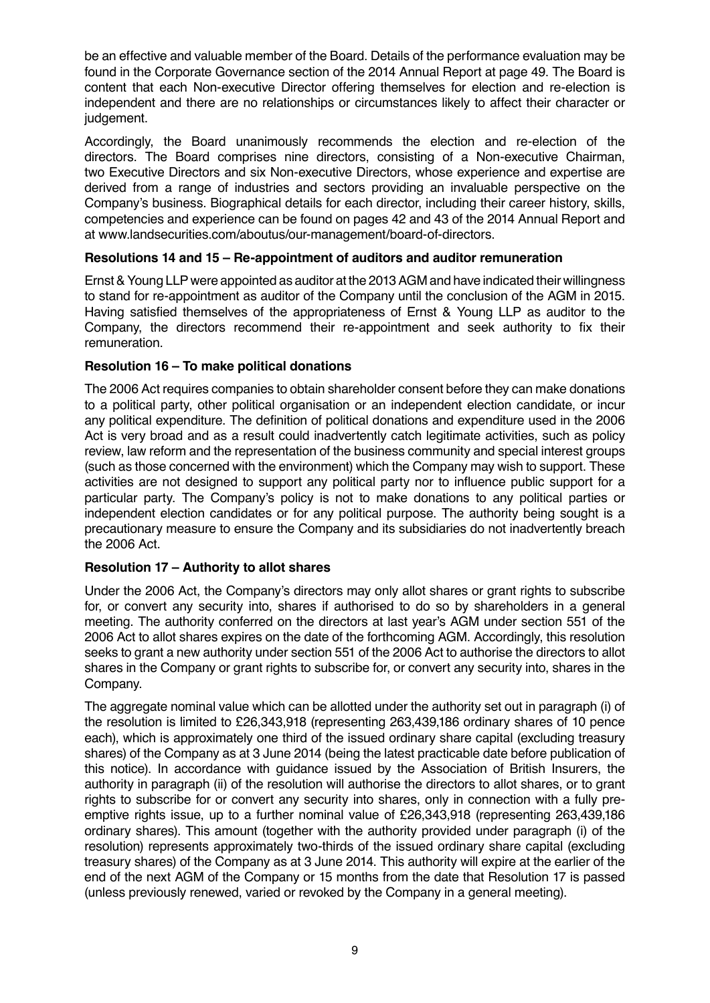be an effective and valuable member of the Board. Details of the performance evaluation may be found in the Corporate Governance section of the 2014 Annual Report at page 49. The Board is content that each Non-executive Director offering themselves for election and re-election is independent and there are no relationships or circumstances likely to affect their character or judgement.

Accordingly, the Board unanimously recommends the election and re-election of the directors. The Board comprises nine directors, consisting of a Non-executive Chairman, two Executive Directors and six Non-executive Directors, whose experience and expertise are derived from a range of industries and sectors providing an invaluable perspective on the Company's business. Biographical details for each director, including their career history, skills, competencies and experience can be found on pages 42 and 43 of the 2014 Annual Report and at www.landsecurities.com/aboutus/our-management/board-of-directors.

# **Resolutions 14 and 15 – Re-appointment of auditors and auditor remuneration**

Ernst & Young LLP were appointed as auditor at the 2013 AGM and have indicated their willingness to stand for re-appointment as auditor of the Company until the conclusion of the AGM in 2015. Having satisfied themselves of the appropriateness of Ernst & Young LLP as auditor to the Company, the directors recommend their re-appointment and seek authority to fix their remuneration.

# **Resolution 16 – To make political donations**

The 2006 Act requires companies to obtain shareholder consent before they can make donations to a political party, other political organisation or an independent election candidate, or incur any political expenditure. The definition of political donations and expenditure used in the 2006 Act is very broad and as a result could inadvertently catch legitimate activities, such as policy review, law reform and the representation of the business community and special interest groups (such as those concerned with the environment) which the Company may wish to support. These activities are not designed to support any political party nor to influence public support for a particular party. The Company's policy is not to make donations to any political parties or independent election candidates or for any political purpose. The authority being sought is a precautionary measure to ensure the Company and its subsidiaries do not inadvertently breach the 2006 Act.

# **Resolution 17 – Authority to allot shares**

Under the 2006 Act, the Company's directors may only allot shares or grant rights to subscribe for, or convert any security into, shares if authorised to do so by shareholders in a general meeting. The authority conferred on the directors at last year's AGM under section 551 of the 2006 Act to allot shares expires on the date of the forthcoming AGM. Accordingly, this resolution seeks to grant a new authority under section 551 of the 2006 Act to authorise the directors to allot shares in the Company or grant rights to subscribe for, or convert any security into, shares in the Company.

The aggregate nominal value which can be allotted under the authority set out in paragraph (i) of the resolution is limited to £26,343,918 (representing 263,439,186 ordinary shares of 10 pence each), which is approximately one third of the issued ordinary share capital (excluding treasury shares) of the Company as at 3 June 2014 (being the latest practicable date before publication of this notice). In accordance with guidance issued by the Association of British Insurers, the authority in paragraph (ii) of the resolution will authorise the directors to allot shares, or to grant rights to subscribe for or convert any security into shares, only in connection with a fully preemptive rights issue, up to a further nominal value of £26,343,918 (representing 263,439,186 ordinary shares). This amount (together with the authority provided under paragraph (i) of the resolution) represents approximately two-thirds of the issued ordinary share capital (excluding treasury shares) of the Company as at 3 June 2014. This authority will expire at the earlier of the end of the next AGM of the Company or 15 months from the date that Resolution 17 is passed (unless previously renewed, varied or revoked by the Company in a general meeting).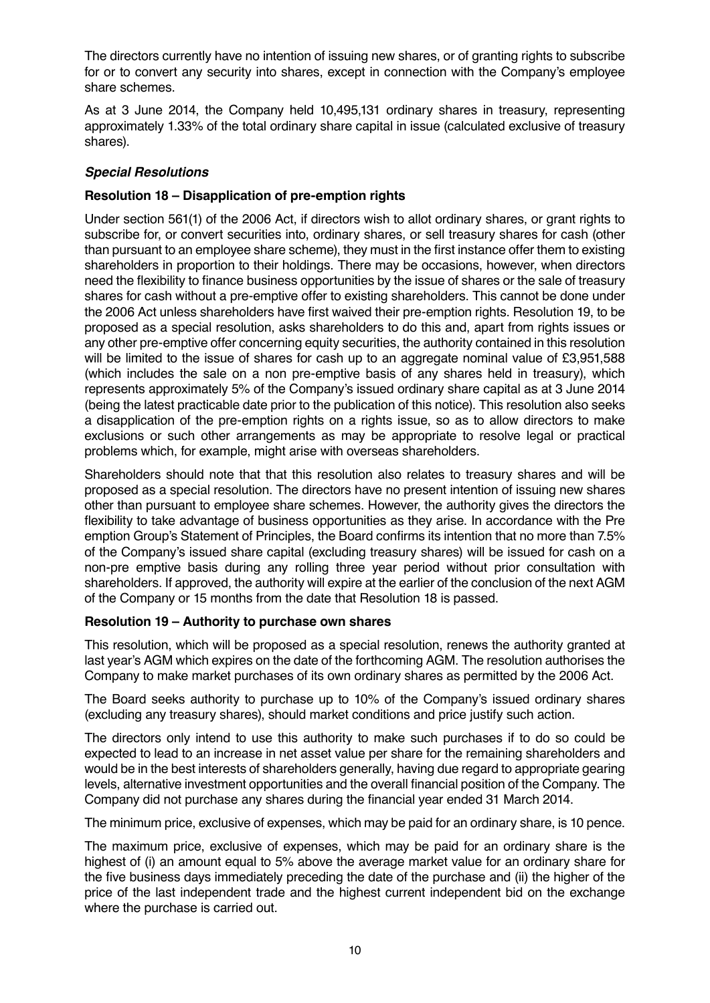The directors currently have no intention of issuing new shares, or of granting rights to subscribe for or to convert any security into shares, except in connection with the Company's employee share schemes.

As at 3 June 2014, the Company held 10,495,131 ordinary shares in treasury, representing approximately 1.33% of the total ordinary share capital in issue (calculated exclusive of treasury shares).

# *Special Resolutions*

# **Resolution 18 – Disapplication of pre-emption rights**

Under section 561(1) of the 2006 Act, if directors wish to allot ordinary shares, or grant rights to subscribe for, or convert securities into, ordinary shares, or sell treasury shares for cash (other than pursuant to an employee share scheme), they must in the first instance offer them to existing shareholders in proportion to their holdings. There may be occasions, however, when directors need the flexibility to finance business opportunities by the issue of shares or the sale of treasury shares for cash without a pre-emptive offer to existing shareholders. This cannot be done under the 2006 Act unless shareholders have first waived their pre-emption rights. Resolution 19, to be proposed as a special resolution, asks shareholders to do this and, apart from rights issues or any other pre-emptive offer concerning equity securities, the authority contained in this resolution will be limited to the issue of shares for cash up to an aggregate nominal value of £3,951,588 (which includes the sale on a non pre-emptive basis of any shares held in treasury), which represents approximately 5% of the Company's issued ordinary share capital as at 3 June 2014 (being the latest practicable date prior to the publication of this notice). This resolution also seeks a disapplication of the pre-emption rights on a rights issue, so as to allow directors to make exclusions or such other arrangements as may be appropriate to resolve legal or practical problems which, for example, might arise with overseas shareholders.

Shareholders should note that that this resolution also relates to treasury shares and will be proposed as a special resolution. The directors have no present intention of issuing new shares other than pursuant to employee share schemes. However, the authority gives the directors the flexibility to take advantage of business opportunities as they arise. In accordance with the Pre emption Group's Statement of Principles, the Board confirms its intention that no more than 7.5% of the Company's issued share capital (excluding treasury shares) will be issued for cash on a non-pre emptive basis during any rolling three year period without prior consultation with shareholders. If approved, the authority will expire at the earlier of the conclusion of the next AGM of the Company or 15 months from the date that Resolution 18 is passed.

### **Resolution 19 – Authority to purchase own shares**

This resolution, which will be proposed as a special resolution, renews the authority granted at last year's AGM which expires on the date of the forthcoming AGM. The resolution authorises the Company to make market purchases of its own ordinary shares as permitted by the 2006 Act.

The Board seeks authority to purchase up to 10% of the Company's issued ordinary shares (excluding any treasury shares), should market conditions and price justify such action.

The directors only intend to use this authority to make such purchases if to do so could be expected to lead to an increase in net asset value per share for the remaining shareholders and would be in the best interests of shareholders generally, having due regard to appropriate gearing levels, alternative investment opportunities and the overall financial position of the Company. The Company did not purchase any shares during the financial year ended 31 March 2014.

The minimum price, exclusive of expenses, which may be paid for an ordinary share, is 10 pence.

The maximum price, exclusive of expenses, which may be paid for an ordinary share is the highest of (i) an amount equal to 5% above the average market value for an ordinary share for the five business days immediately preceding the date of the purchase and (ii) the higher of the price of the last independent trade and the highest current independent bid on the exchange where the purchase is carried out.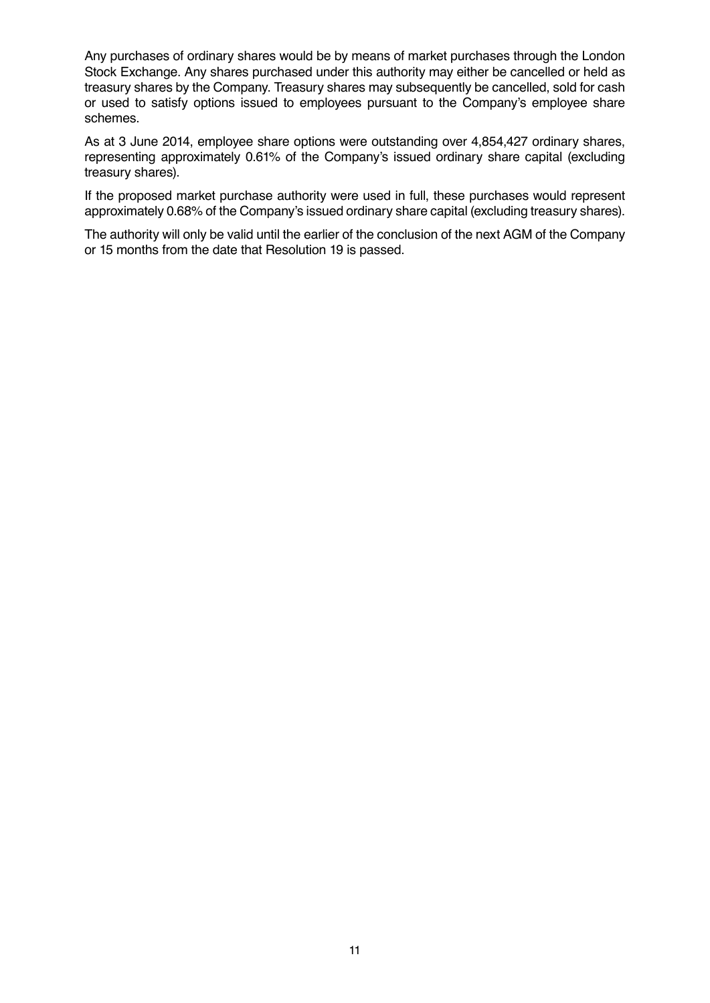Any purchases of ordinary shares would be by means of market purchases through the London Stock Exchange. Any shares purchased under this authority may either be cancelled or held as treasury shares by the Company. Treasury shares may subsequently be cancelled, sold for cash or used to satisfy options issued to employees pursuant to the Company's employee share schemes.

As at 3 June 2014, employee share options were outstanding over 4,854,427 ordinary shares, representing approximately 0.61% of the Company's issued ordinary share capital (excluding treasury shares).

If the proposed market purchase authority were used in full, these purchases would represent approximately 0.68% of the Company's issued ordinary share capital (excluding treasury shares).

The authority will only be valid until the earlier of the conclusion of the next AGM of the Company or 15 months from the date that Resolution 19 is passed.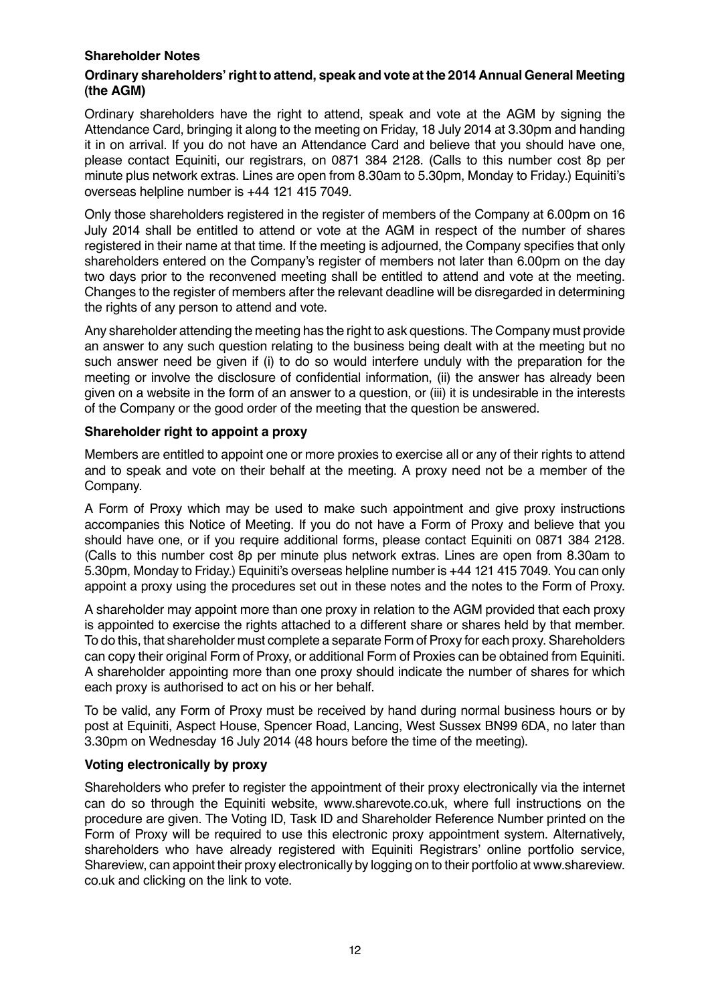# **Shareholder Notes**

# **Ordinary shareholders' right to attend, speak and vote at the 2014 Annual General Meeting (the AGM)**

Ordinary shareholders have the right to attend, speak and vote at the AGM by signing the Attendance Card, bringing it along to the meeting on Friday, 18 July 2014 at 3.30pm and handing it in on arrival. If you do not have an Attendance Card and believe that you should have one, please contact Equiniti, our registrars, on 0871 384 2128. (Calls to this number cost 8p per minute plus network extras. Lines are open from 8.30am to 5.30pm, Monday to Friday.) Equiniti's overseas helpline number is +44 121 415 7049.

Only those shareholders registered in the register of members of the Company at 6.00pm on 16 July 2014 shall be entitled to attend or vote at the AGM in respect of the number of shares registered in their name at that time. If the meeting is adjourned, the Company specifies that only shareholders entered on the Company's register of members not later than 6.00pm on the day two days prior to the reconvened meeting shall be entitled to attend and vote at the meeting. Changes to the register of members after the relevant deadline will be disregarded in determining the rights of any person to attend and vote.

Any shareholder attending the meeting has the right to ask questions. The Company must provide an answer to any such question relating to the business being dealt with at the meeting but no such answer need be given if (i) to do so would interfere unduly with the preparation for the meeting or involve the disclosure of confidential information, (ii) the answer has already been given on a website in the form of an answer to a question, or (iii) it is undesirable in the interests of the Company or the good order of the meeting that the question be answered.

### **Shareholder right to appoint a proxy**

Members are entitled to appoint one or more proxies to exercise all or any of their rights to attend and to speak and vote on their behalf at the meeting. A proxy need not be a member of the Company.

A Form of Proxy which may be used to make such appointment and give proxy instructions accompanies this Notice of Meeting. If you do not have a Form of Proxy and believe that you should have one, or if you require additional forms, please contact Equiniti on 0871 384 2128. (Calls to this number cost 8p per minute plus network extras. Lines are open from 8.30am to 5.30pm, Monday to Friday.) Equiniti's overseas helpline number is +44 121 415 7049. You can only appoint a proxy using the procedures set out in these notes and the notes to the Form of Proxy.

A shareholder may appoint more than one proxy in relation to the AGM provided that each proxy is appointed to exercise the rights attached to a different share or shares held by that member. To do this, that shareholder must complete a separate Form of Proxy for each proxy. Shareholders can copy their original Form of Proxy, or additional Form of Proxies can be obtained from Equiniti. A shareholder appointing more than one proxy should indicate the number of shares for which each proxy is authorised to act on his or her behalf.

To be valid, any Form of Proxy must be received by hand during normal business hours or by post at Equiniti, Aspect House, Spencer Road, Lancing, West Sussex BN99 6DA, no later than 3.30pm on Wednesday 16 July 2014 (48 hours before the time of the meeting).

## **Voting electronically by proxy**

Shareholders who prefer to register the appointment of their proxy electronically via the internet can do so through the Equiniti website, www.sharevote.co.uk, where full instructions on the procedure are given. The Voting ID, Task ID and Shareholder Reference Number printed on the Form of Proxy will be required to use this electronic proxy appointment system. Alternatively, shareholders who have already registered with Equiniti Registrars' online portfolio service, Shareview, can appoint their proxy electronically by logging on to their portfolio at www.shareview. co.uk and clicking on the link to vote.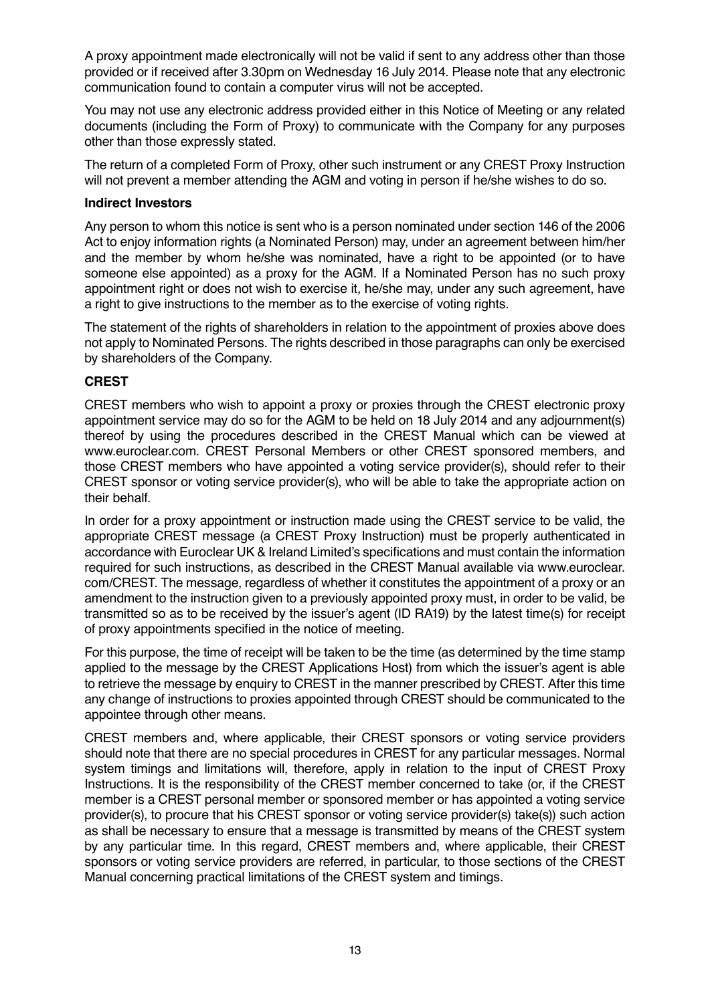A proxy appointment made electronically will not be valid if sent to any address other than those provided or if received after 3.30pm on Wednesday 16 July 2014. Please note that any electronic communication found to contain a computer virus will not be accepted.

You may not use any electronic address provided either in this Notice of Meeting or any related documents (including the Form of Proxy) to communicate with the Company for any purposes other than those expressly stated.

The return of a completed Form of Proxy, other such instrument or any CREST Proxy Instruction will not prevent a member attending the AGM and voting in person if he/she wishes to do so.

#### **Indirect Investors**

Any person to whom this notice is sent who is a person nominated under section 146 of the 2006 Act to enjoy information rights (a Nominated Person) may, under an agreement between him/her and the member by whom he/she was nominated, have a right to be appointed (or to have someone else appointed) as a proxy for the AGM. If a Nominated Person has no such proxy appointment right or does not wish to exercise it, he/she may, under any such agreement, have a right to give instructions to the member as to the exercise of voting rights.

The statement of the rights of shareholders in relation to the appointment of proxies above does not apply to Nominated Persons. The rights described in those paragraphs can only be exercised by shareholders of the Company.

### **CREST**

CREST members who wish to appoint a proxy or proxies through the CREST electronic proxy appointment service may do so for the AGM to be held on 18 July 2014 and any adjournment(s) thereof by using the procedures described in the CREST Manual which can be viewed at www.euroclear.com. CREST Personal Members or other CREST sponsored members, and those CREST members who have appointed a voting service provider(s), should refer to their CREST sponsor or voting service provider(s), who will be able to take the appropriate action on their behalf.

In order for a proxy appointment or instruction made using the CREST service to be valid, the appropriate CREST message (a CREST Proxy Instruction) must be properly authenticated in accordance with Euroclear UK & Ireland Limited's specifications and must contain the information required for such instructions, as described in the CREST Manual available via www.euroclear. com/CREST. The message, regardless of whether it constitutes the appointment of a proxy or an amendment to the instruction given to a previously appointed proxy must, in order to be valid, be transmitted so as to be received by the issuer's agent (ID RA19) by the latest time(s) for receipt of proxy appointments specified in the notice of meeting.

For this purpose, the time of receipt will be taken to be the time (as determined by the time stamp applied to the message by the CREST Applications Host) from which the issuer's agent is able to retrieve the message by enquiry to CREST in the manner prescribed by CREST. After this time any change of instructions to proxies appointed through CREST should be communicated to the appointee through other means.

CREST members and, where applicable, their CREST sponsors or voting service providers should note that there are no special procedures in CREST for any particular messages. Normal system timings and limitations will, therefore, apply in relation to the input of CREST Proxy Instructions. It is the responsibility of the CREST member concerned to take (or, if the CREST member is a CREST personal member or sponsored member or has appointed a voting service provider(s), to procure that his CREST sponsor or voting service provider(s) take(s)) such action as shall be necessary to ensure that a message is transmitted by means of the CREST system by any particular time. In this regard, CREST members and, where applicable, their CREST sponsors or voting service providers are referred, in particular, to those sections of the CREST Manual concerning practical limitations of the CREST system and timings.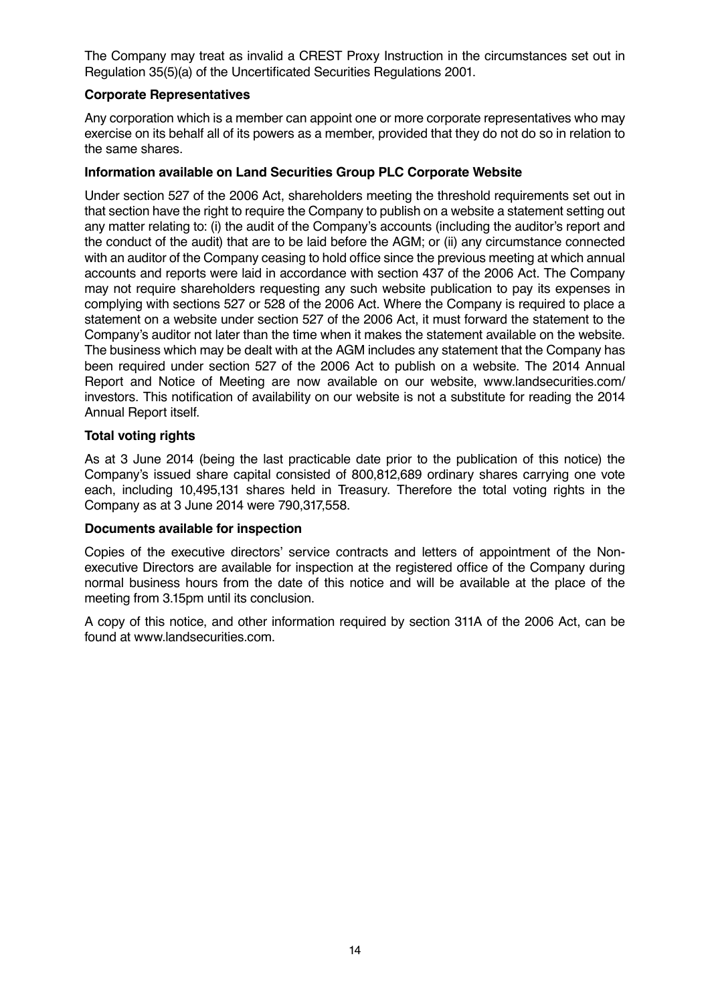The Company may treat as invalid a CREST Proxy Instruction in the circumstances set out in Regulation 35(5)(a) of the Uncertificated Securities Regulations 2001.

### **Corporate Representatives**

Any corporation which is a member can appoint one or more corporate representatives who may exercise on its behalf all of its powers as a member, provided that they do not do so in relation to the same shares.

## **Information available on Land Securities Group PLC Corporate Website**

Under section 527 of the 2006 Act, shareholders meeting the threshold requirements set out in that section have the right to require the Company to publish on a website a statement setting out any matter relating to: (i) the audit of the Company's accounts (including the auditor's report and the conduct of the audit) that are to be laid before the AGM; or (ii) any circumstance connected with an auditor of the Company ceasing to hold office since the previous meeting at which annual accounts and reports were laid in accordance with section 437 of the 2006 Act. The Company may not require shareholders requesting any such website publication to pay its expenses in complying with sections 527 or 528 of the 2006 Act. Where the Company is required to place a statement on a website under section 527 of the 2006 Act, it must forward the statement to the Company's auditor not later than the time when it makes the statement available on the website. The business which may be dealt with at the AGM includes any statement that the Company has been required under section 527 of the 2006 Act to publish on a website. The 2014 Annual Report and Notice of Meeting are now available on our website, www.landsecurities.com/ investors. This notification of availability on our website is not a substitute for reading the 2014 Annual Report itself.

#### **Total voting rights**

As at 3 June 2014 (being the last practicable date prior to the publication of this notice) the Company's issued share capital consisted of 800,812,689 ordinary shares carrying one vote each, including 10,495,131 shares held in Treasury. Therefore the total voting rights in the Company as at 3 June 2014 were 790,317,558.

#### **Documents available for inspection**

Copies of the executive directors' service contracts and letters of appointment of the Nonexecutive Directors are available for inspection at the registered office of the Company during normal business hours from the date of this notice and will be available at the place of the meeting from 3.15pm until its conclusion.

A copy of this notice, and other information required by section 311A of the 2006 Act, can be found at www.landsecurities.com.